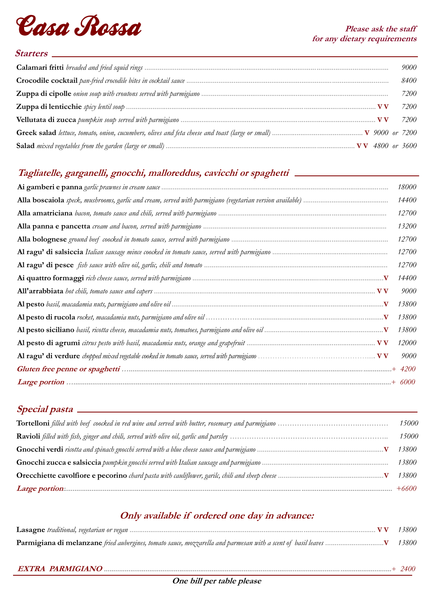

### **Starters**

|                                                                                                          | 9000 |
|----------------------------------------------------------------------------------------------------------|------|
|                                                                                                          | 8400 |
|                                                                                                          | 7200 |
|                                                                                                          | 7200 |
|                                                                                                          | 7200 |
|                                                                                                          |      |
| Salad mixed vegetables from the garden (large or small) …………………………………………………………………………………… VV 4800 or 3600 |      |

# **Tagliatelle, garganelli, gnocchi, malloreddus, cavicchi or spaghetti**

| <i>18000</i> |
|--------------|
| 14400        |
| 12700        |
| 13200        |
| 12700        |
| 12700        |
| 12700        |
| 14400        |
| 9000         |
| 13800        |
| 13800        |
| 13800        |
| 12000        |
| 9000         |
|              |
|              |

### **Special pasta**

| <i>15000</i> |
|--------------|
| 15000        |
| 13800-       |
| 13800        |
| 13800        |
| $+6600$      |

# **Only available if ordered one day in advance:**

| 13800 |
|-------|
| 13800 |
|       |

**EXTRA PARMIGIANO ........................................................................................................................................................**+ *2400*